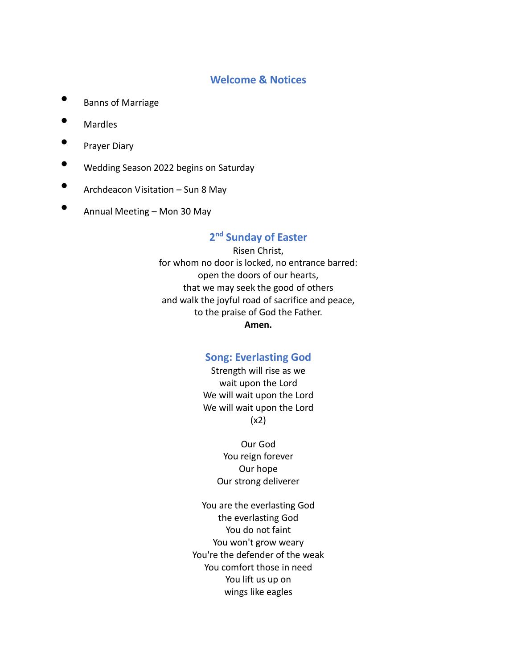# **Welcome & Notices**

- Banns of Marriage
- Mardles
- Prayer Diary
- Wedding Season 2022 begins on Saturday
- Archdeacon Visitation Sun 8 May
- Annual Meeting Mon 30 May

# **2 nd Sunday of Easter**

Risen Christ, for whom no door is locked, no entrance barred: open the doors of our hearts, that we may seek the good of others and walk the joyful road of sacrifice and peace, to the praise of God the Father. **Amen.**

# **Song: Everlasting God**

Strength will rise as we wait upon the Lord We will wait upon the Lord We will wait upon the Lord (x2)

> Our God You reign forever Our hope Our strong deliverer

You are the everlasting God the everlasting God You do not faint You won't grow weary You're the defender of the weak You comfort those in need You lift us up on wings like eagles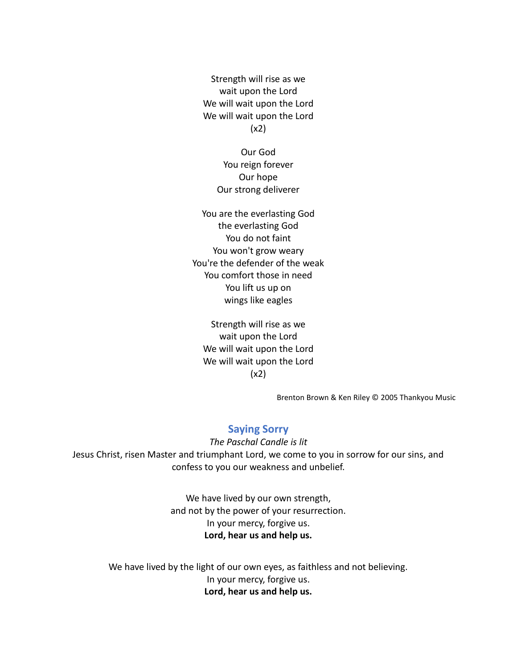Strength will rise as we wait upon the Lord We will wait upon the Lord We will wait upon the Lord (x2)

> Our God You reign forever Our hope Our strong deliverer

You are the everlasting God the everlasting God You do not faint You won't grow weary You're the defender of the weak You comfort those in need You lift us up on wings like eagles

Strength will rise as we wait upon the Lord We will wait upon the Lord We will wait upon the Lord (x2)

Brenton Brown & Ken Riley © 2005 Thankyou Music

# **Saying Sorry**

*The Paschal Candle is lit* Jesus Christ, risen Master and triumphant Lord, we come to you in sorrow for our sins, and confess to you our weakness and unbelief.

> We have lived by our own strength, and not by the power of your resurrection. In your mercy, forgive us. **Lord, hear us and help us.**

We have lived by the light of our own eyes, as faithless and not believing. In your mercy, forgive us. **Lord, hear us and help us.**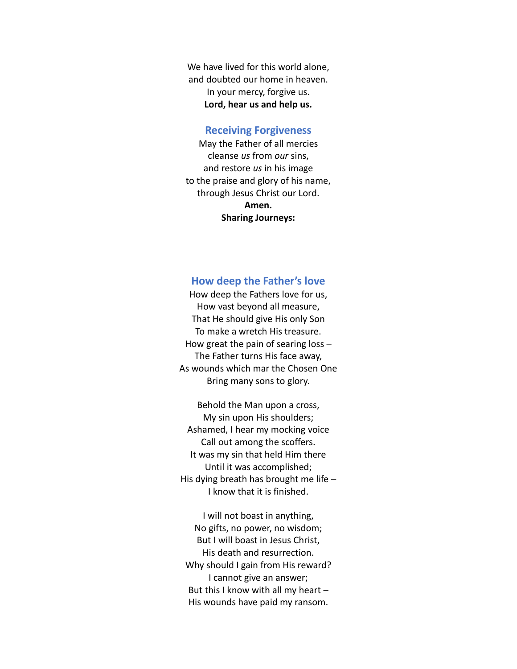We have lived for this world alone. and doubted our home in heaven. In your mercy, forgive us. **Lord, hear us and help us.**

#### **Receiving Forgiveness**

May the Father of all mercies cleanse *us* from *our* sins, and restore *us* in his image to the praise and glory of his name, through Jesus Christ our Lord. **Amen. Sharing Journeys:**

#### **How deep the Father's love**

How deep the Fathers love for us, How vast beyond all measure, That He should give His only Son To make a wretch His treasure. How great the pain of searing loss – The Father turns His face away, As wounds which mar the Chosen One Bring many sons to glory.

Behold the Man upon a cross, My sin upon His shoulders; Ashamed, I hear my mocking voice Call out among the scoffers. It was my sin that held Him there Until it was accomplished; His dying breath has brought me life – I know that it is finished.

I will not boast in anything, No gifts, no power, no wisdom; But I will boast in Jesus Christ, His death and resurrection. Why should I gain from His reward? I cannot give an answer; But this I know with all my heart – His wounds have paid my ransom.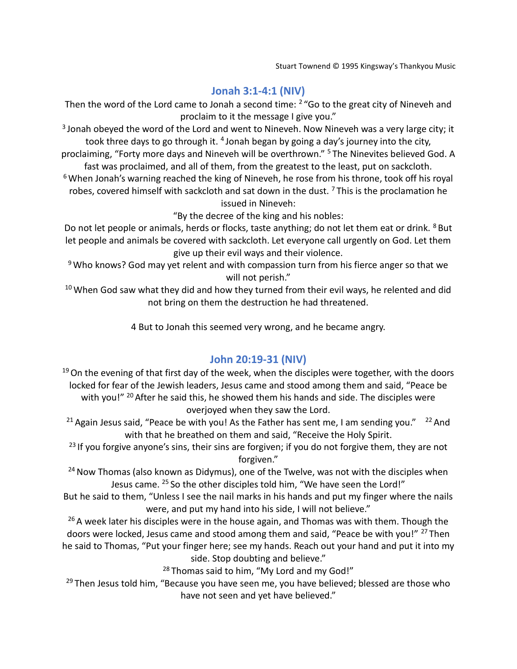# **Jonah 3:1-4:1 (NIV)**

Then the word of the Lord came to Jonah a second time: <sup>2</sup> "Go to the great city of Nineveh and proclaim to it the message I give you."

<sup>3</sup> Jonah obeyed the word of the Lord and went to Nineveh. Now Nineveh was a very large city; it took three days to go through it. <sup>4</sup> Jonah began by going a day's journey into the city,

proclaiming, "Forty more days and Nineveh will be overthrown." <sup>5</sup> The Ninevites believed God. A fast was proclaimed, and all of them, from the greatest to the least, put on sackcloth.

<sup>6</sup> When Jonah's warning reached the king of Nineveh, he rose from his throne, took off his royal robes, covered himself with sackcloth and sat down in the dust.  $7$  This is the proclamation he issued in Nineveh:

"By the decree of the king and his nobles:

Do not let people or animals, herds or flocks, taste anything; do not let them eat or drink. <sup>8</sup> But let people and animals be covered with sackcloth. Let everyone call urgently on God. Let them give up their evil ways and their violence.

<sup>9</sup> Who knows? God may yet relent and with compassion turn from his fierce anger so that we will not perish."

 $10$  When God saw what they did and how they turned from their evil ways, he relented and did not bring on them the destruction he had threatened.

4 But to Jonah this seemed very wrong, and he became angry.

# **John 20:19-31 (NIV)**

 $19$  On the evening of that first day of the week, when the disciples were together, with the doors locked for fear of the Jewish leaders, Jesus came and stood among them and said, "Peace be with you!" <sup>20</sup> After he said this, he showed them his hands and side. The disciples were overjoyed when they saw the Lord.

<sup>21</sup> Again Jesus said, "Peace be with you! As the Father has sent me, I am sending you." <sup>22</sup> And with that he breathed on them and said, "Receive the Holy Spirit.

 $23$  If you forgive anyone's sins, their sins are forgiven; if you do not forgive them, they are not forgiven."

<sup>24</sup> Now Thomas (also known as Didymus), one of the Twelve, was not with the disciples when Jesus came. <sup>25</sup> So the other disciples told him, "We have seen the Lord!"

But he said to them, "Unless I see the nail marks in his hands and put my finger where the nails were, and put my hand into his side, I will not believe."

 $26$  A week later his disciples were in the house again, and Thomas was with them. Though the doors were locked, Jesus came and stood among them and said, "Peace be with you!" <sup>27</sup> Then he said to Thomas, "Put your finger here; see my hands. Reach out your hand and put it into my side. Stop doubting and believe."

<sup>28</sup> Thomas said to him, "My Lord and my God!"

 $29$  Then Jesus told him, "Because you have seen me, you have believed; blessed are those who have not seen and yet have believed."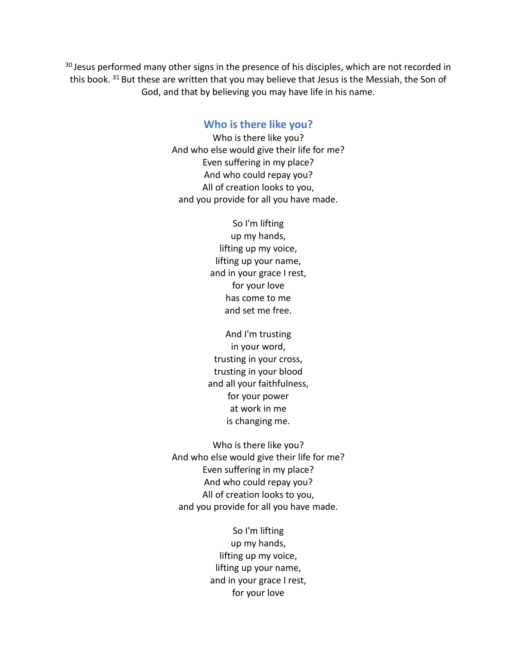<sup>30</sup> Jesus performed many other signs in the presence of his disciples, which are not recorded in this book. <sup>31</sup> But these are written that you may believe that Jesus is the Messiah, the Son of God, and that by believing you may have life in his name.

#### **Who is there like you?**

Who is there like you? And who else would give their life for me? Even suffering in my place? And who could repay you? All of creation looks to you, and you provide for all you have made.

> So I'm lifting up my hands, lifting up my voice, lifting up your name, and in your grace I rest, for your love has come to me and set me free.

And I'm trusting in your word, trusting in your cross, trusting in your blood and all your faithfulness, for your power at work in me is changing me.

Who is there like you? And who else would give their life for me? Even suffering in my place? And who could repay you? All of creation looks to you, and you provide for all you have made.

> So I'm lifting up my hands, lifting up my voice, lifting up your name, and in your grace I rest, for your love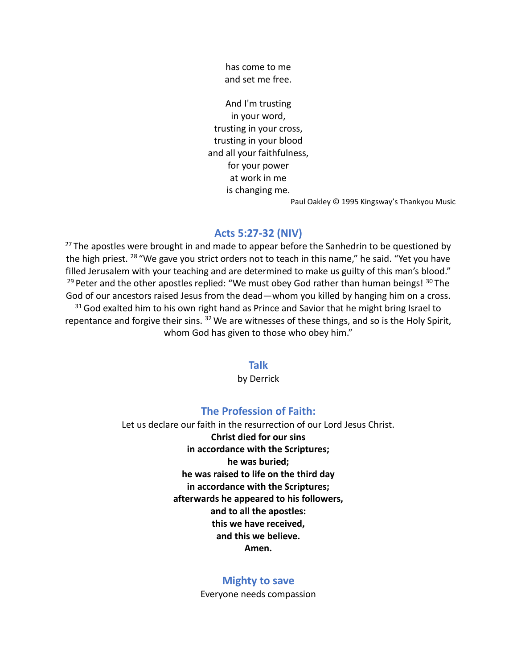has come to me and set me free.

And I'm trusting in your word, trusting in your cross, trusting in your blood and all your faithfulness, for your power at work in me is changing me.

Paul Oakley © 1995 Kingsway's Thankyou Music

## **Acts 5:27-32 (NIV)**

 $27$  The apostles were brought in and made to appear before the Sanhedrin to be questioned by the high priest. <sup>28</sup> "We gave you strict orders not to teach in this name," he said. "Yet you have filled Jerusalem with your teaching and are determined to make us guilty of this man's blood."  $29$  Peter and the other apostles replied: "We must obey God rather than human beings!  $30$  The God of our ancestors raised Jesus from the dead—whom you killed by hanging him on a cross.  $31$  God exalted him to his own right hand as Prince and Savior that he might bring Israel to repentance and forgive their sins.  $32$  We are witnesses of these things, and so is the Holy Spirit, whom God has given to those who obey him."

**Talk**

by Derrick

# **The Profession of Faith:**

Let us declare our faith in the resurrection of our Lord Jesus Christ. **Christ died for our sins in accordance with the Scriptures; he was buried; he was raised to life on the third day in accordance with the Scriptures; afterwards he appeared to his followers, and to all the apostles: this we have received, and this we believe. Amen.**

### **Mighty to save**

Everyone needs compassion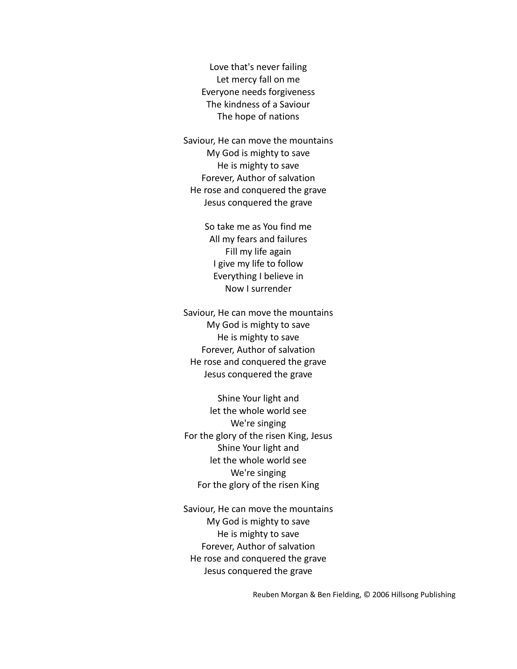Love that's never failing Let mercy fall on me Everyone needs forgiveness The kindness of a Saviour The hope of nations

Saviour, He can move the mountains My God is mighty to save He is mighty to save Forever, Author of salvation He rose and conquered the grave Jesus conquered the grave

> So take me as You find me All my fears and failures Fill my life again I give my life to follow Everything I believe in Now I surrender

Saviour, He can move the mountains My God is mighty to save He is mighty to save Forever, Author of salvation He rose and conquered the grave Jesus conquered the grave

Shine Your light and let the whole world see We're singing For the glory of the risen King, Jesus Shine Your light and let the whole world see We're singing For the glory of the risen King

Saviour, He can move the mountains My God is mighty to save He is mighty to save Forever, Author of salvation He rose and conquered the grave Jesus conquered the grave

Reuben Morgan & Ben Fielding, © 2006 Hillsong Publishing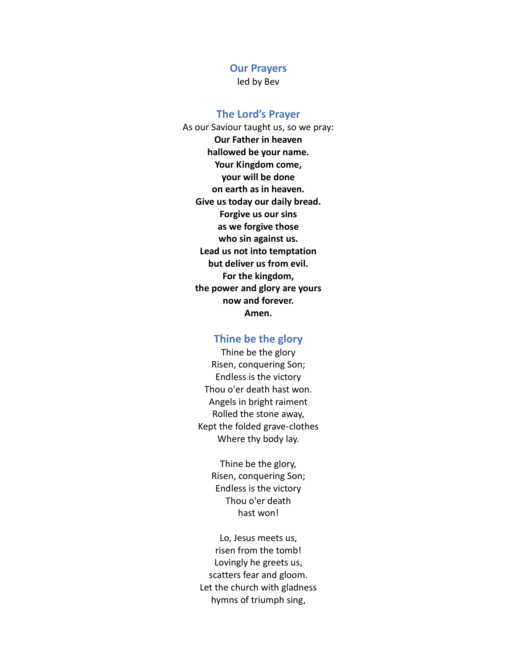#### **Our Prayers**

led by Bev

## **The Lord's Prayer**

As our Saviour taught us, so we pray: **Our Father in heaven hallowed be your name. Your Kingdom come, your will be done on earth as in heaven. Give us today our daily bread. Forgive us our sins as we forgive those who sin against us. Lead us not into temptation but deliver us from evil. For the kingdom, the power and glory are yours now and forever. Amen.**

## **Thine be the glory**

Thine be the glory Risen, conquering Son; Endless is the victory Thou o'er death hast won. Angels in bright raiment Rolled the stone away, Kept the folded grave-clothes Where thy body lay.

> Thine be the glory, Risen, conquering Son; Endless is the victory Thou o'er death hast won!

Lo, Jesus meets us, risen from the tomb! Lovingly he greets us, scatters fear and gloom. Let the church with gladness hymns of triumph sing,